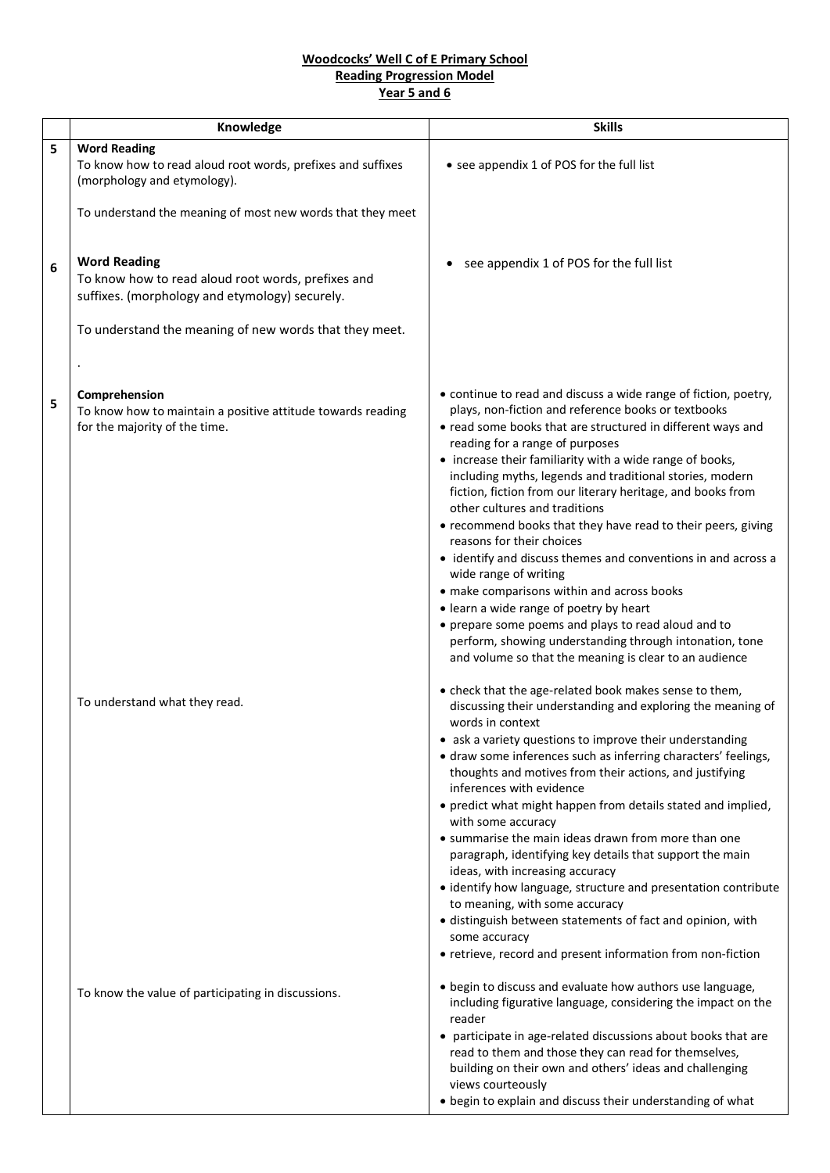## **Woodcocks' Well C of E Primary School Reading Progression Model Year 5 and 6**

|   | Knowledge                                                                                                                   | <b>Skills</b>                                                                                                                                                                                                                                                                                                                                                                                                                                                                                                                                                                                                                                                                                                                                                                                                                                      |
|---|-----------------------------------------------------------------------------------------------------------------------------|----------------------------------------------------------------------------------------------------------------------------------------------------------------------------------------------------------------------------------------------------------------------------------------------------------------------------------------------------------------------------------------------------------------------------------------------------------------------------------------------------------------------------------------------------------------------------------------------------------------------------------------------------------------------------------------------------------------------------------------------------------------------------------------------------------------------------------------------------|
| 5 | <b>Word Reading</b>                                                                                                         |                                                                                                                                                                                                                                                                                                                                                                                                                                                                                                                                                                                                                                                                                                                                                                                                                                                    |
|   | To know how to read aloud root words, prefixes and suffixes<br>(morphology and etymology).                                  | • see appendix 1 of POS for the full list                                                                                                                                                                                                                                                                                                                                                                                                                                                                                                                                                                                                                                                                                                                                                                                                          |
|   | To understand the meaning of most new words that they meet                                                                  |                                                                                                                                                                                                                                                                                                                                                                                                                                                                                                                                                                                                                                                                                                                                                                                                                                                    |
| 6 | <b>Word Reading</b><br>To know how to read aloud root words, prefixes and<br>suffixes. (morphology and etymology) securely. | see appendix 1 of POS for the full list                                                                                                                                                                                                                                                                                                                                                                                                                                                                                                                                                                                                                                                                                                                                                                                                            |
|   | To understand the meaning of new words that they meet.                                                                      |                                                                                                                                                                                                                                                                                                                                                                                                                                                                                                                                                                                                                                                                                                                                                                                                                                                    |
| 5 | Comprehension<br>To know how to maintain a positive attitude towards reading<br>for the majority of the time.               | • continue to read and discuss a wide range of fiction, poetry,<br>plays, non-fiction and reference books or textbooks<br>• read some books that are structured in different ways and<br>reading for a range of purposes<br>• increase their familiarity with a wide range of books,<br>including myths, legends and traditional stories, modern<br>fiction, fiction from our literary heritage, and books from<br>other cultures and traditions<br>• recommend books that they have read to their peers, giving<br>reasons for their choices<br>• identify and discuss themes and conventions in and across a<br>wide range of writing<br>• make comparisons within and across books<br>• learn a wide range of poetry by heart<br>• prepare some poems and plays to read aloud and to<br>perform, showing understanding through intonation, tone |
|   | To understand what they read.                                                                                               | and volume so that the meaning is clear to an audience<br>• check that the age-related book makes sense to them,<br>discussing their understanding and exploring the meaning of<br>words in context<br>• ask a variety questions to improve their understanding<br>• draw some inferences such as inferring characters' feelings,<br>thoughts and motives from their actions, and justifying<br>inferences with evidence<br>• predict what might happen from details stated and implied,<br>with some accuracy<br>• summarise the main ideas drawn from more than one<br>paragraph, identifying key details that support the main<br>ideas, with increasing accuracy<br>• identify how language, structure and presentation contribute                                                                                                             |
|   | To know the value of participating in discussions.                                                                          | to meaning, with some accuracy<br>· distinguish between statements of fact and opinion, with<br>some accuracy<br>• retrieve, record and present information from non-fiction<br>• begin to discuss and evaluate how authors use language,<br>including figurative language, considering the impact on the<br>reader<br>• participate in age-related discussions about books that are<br>read to them and those they can read for themselves,<br>building on their own and others' ideas and challenging<br>views courteously<br>• begin to explain and discuss their understanding of what                                                                                                                                                                                                                                                         |